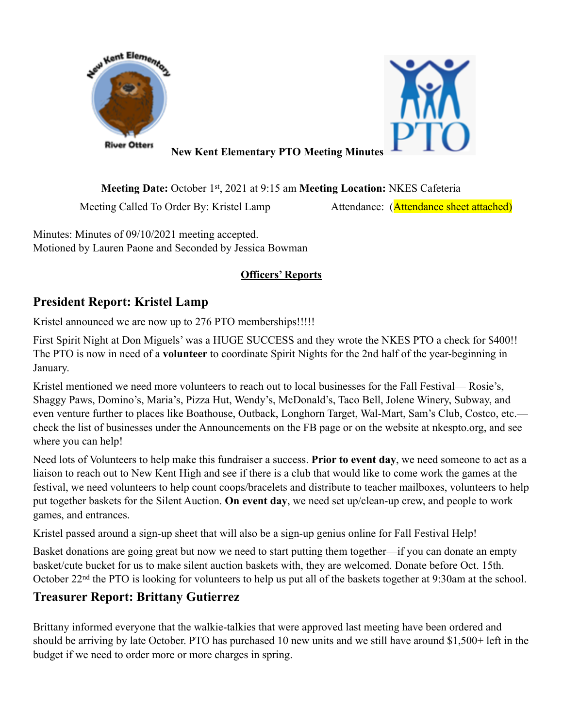



**New Kent Elementary PTO Meeting Minutes**

**Meeting Date:** October 1st, 2021 at 9:15 am **Meeting Location:** NKES Cafeteria Meeting Called To Order By: Kristel Lamp Attendance: (Attendance sheet attached)

Minutes: Minutes of 09/10/2021 meeting accepted. Motioned by Lauren Paone and Seconded by Jessica Bowman

#### **Officers' Reports**

# **President Report: Kristel Lamp**

Kristel announced we are now up to 276 PTO memberships!!!!!

First Spirit Night at Don Miguels' was a HUGE SUCCESS and they wrote the NKES PTO a check for \$400!! The PTO is now in need of a **volunteer** to coordinate Spirit Nights for the 2nd half of the year-beginning in January.

Kristel mentioned we need more volunteers to reach out to local businesses for the Fall Festival— Rosie's, Shaggy Paws, Domino's, Maria's, Pizza Hut, Wendy's, McDonald's, Taco Bell, Jolene Winery, Subway, and even venture further to places like Boathouse, Outback, Longhorn Target, Wal-Mart, Sam's Club, Costco, etc. check the list of businesses under the Announcements on the FB page or on the website at nkespto.org, and see where you can help!

Need lots of Volunteers to help make this fundraiser a success. **Prior to event day**, we need someone to act as a liaison to reach out to New Kent High and see if there is a club that would like to come work the games at the festival, we need volunteers to help count coops/bracelets and distribute to teacher mailboxes, volunteers to help put together baskets for the Silent Auction. **On event day**, we need set up/clean-up crew, and people to work games, and entrances.

Kristel passed around a sign-up sheet that will also be a sign-up genius online for Fall Festival Help!

Basket donations are going great but now we need to start putting them together—if you can donate an empty basket/cute bucket for us to make silent auction baskets with, they are welcomed. Donate before Oct. 15th. October 22nd the PTO is looking for volunteers to help us put all of the baskets together at 9:30am at the school.

## **Treasurer Report: Brittany Gutierrez**

Brittany informed everyone that the walkie-talkies that were approved last meeting have been ordered and should be arriving by late October. PTO has purchased 10 new units and we still have around \$1,500+ left in the budget if we need to order more or more charges in spring.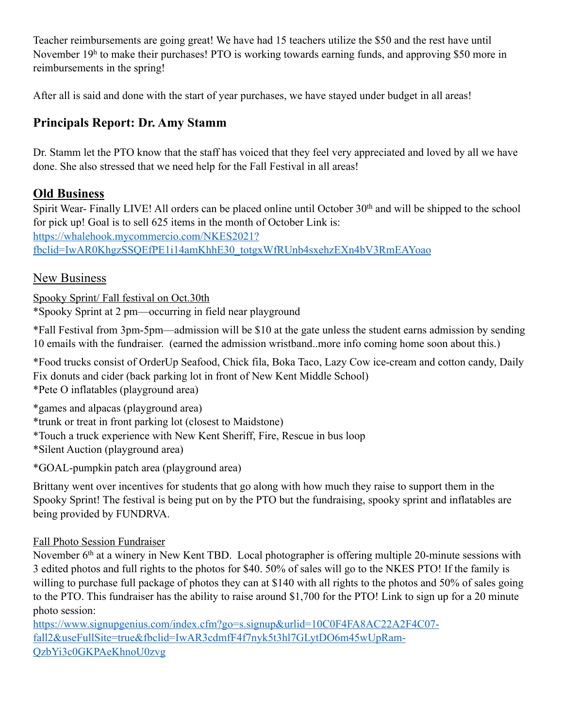Teacher reimbursements are going great! We have had 15 teachers utilize the \$50 and the rest have until November 19h to make their purchases! PTO is working towards earning funds, and approving \$50 more in reimbursements in the spring!

After all is said and done with the start of year purchases, we have stayed under budget in all areas!

# **Principals Report: Dr. Amy Stamm**

Dr. Stamm let the PTO know that the staff has voiced that they feel very appreciated and loved by all we have done. She also stressed that we need help for the Fall Festival in all areas!

## **Old Business**

Spirit Wear- Finally LIVE! All orders can be placed online until October 30<sup>th</sup> and will be shipped to the school for pick up! Goal is to sell 625 items in the month of October Link is: https://whalehook.mycommercio.com/NKES2021? [fbclid=IwAR0KhgzSSQEfPE1i14amKhhE30\\_totgxWfRUnb4sxehzEXn4bV3RmEAYoao](https://whalehook.mycommercio.com/NKES2021?fbclid=IwAR0KhgzSSQEfPE1i14amKhhE30_totgxWfRUnb4sxehzEXn4bV3RmEAYoao)

## New Business

Spooky Sprint/ Fall festival on Oct.30th

\*Spooky Sprint at 2 pm—occurring in field near playground

\*Fall Festival from 3pm-5pm—admission will be \$10 at the gate unless the student earns admission by sending 10 emails with the fundraiser. (earned the admission wristband..more info coming home soon about this.)

\*Food trucks consist of OrderUp Seafood, Chick fila, Boka Taco, Lazy Cow ice-cream and cotton candy, Daily Fix donuts and cider (back parking lot in front of New Kent Middle School) \*Pete O inflatables (playground area)

\*games and alpacas (playground area)

\*trunk or treat in front parking lot (closest to Maidstone)

\*Touch a truck experience with New Kent Sheriff, Fire, Rescue in bus loop

\*Silent Auction (playground area)

\*GOAL-pumpkin patch area (playground area)

Brittany went over incentives for students that go along with how much they raise to support them in the Spooky Sprint! The festival is being put on by the PTO but the fundraising, spooky sprint and inflatables are being provided by FUNDRVA.

## Fall Photo Session Fundraiser

November 6<sup>th</sup> at a winery in New Kent TBD. Local photographer is offering multiple 20-minute sessions with 3 edited photos and full rights to the photos for \$40. 50% of sales will go to the NKES PTO! If the family is willing to purchase full package of photos they can at \$140 with all rights to the photos and 50% of sales going to the PTO. This fundraiser has the ability to raise around \$1,700 for the PTO! Link to sign up for a 20 minute photo session:

[https://www.signupgenius.com/index.cfm?go=s.signup&urlid=10C0F4FA8AC22A2F4C07](https://www.signupgenius.com/index.cfm?go=s.signup&urlid=10C0F4FA8AC22A2F4C07-fall2&useFullSite=true&fbclid=IwAR3cdmfF4f7nyk5t3hl7GLytDO6m45wUpRam-QzbYi3c0GKPAeKhnoU0zvg) fall2&useFullSite=true&fbclid=IwAR3cdmfF4f7nyk5t3hl7GLytDO6m45wUpRam-QzbYi3c0GKPAeKhnoU0zvg